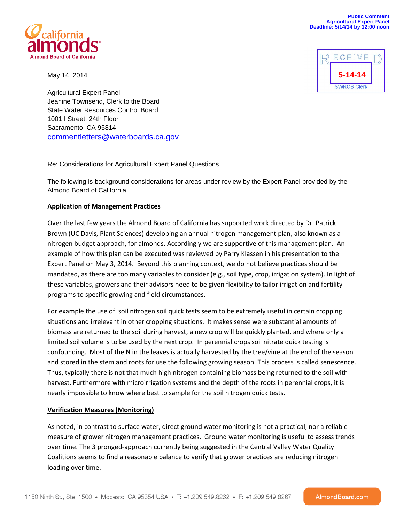

May 14, 2014



Agricultural Expert Panel Jeanine Townsend, Clerk to the Board State Water Resources Control Board 1001 I Street, 24th Floor Sacramento, CA 95814 [commentletters@waterboards.ca.gov](mailto:commentletters@waterboards.ca.gov)

Re: Considerations for Agricultural Expert Panel Questions

The following is background considerations for areas under review by the Expert Panel provided by the Almond Board of California.

## **Application of Management Practices**

Over the last few years the Almond Board of California has supported work directed by Dr. Patrick Brown (UC Davis, Plant Sciences) developing an annual nitrogen management plan, also known as a nitrogen budget approach, for almonds. Accordingly we are supportive of this management plan. An example of how this plan can be executed was reviewed by Parry Klassen in his presentation to the Expert Panel on May 3, 2014. Beyond this planning context, we do not believe practices should be mandated, as there are too many variables to consider (e.g., soil type, crop, irrigation system). In light of these variables, growers and their advisors need to be given flexibility to tailor irrigation and fertility programs to specific growing and field circumstances.

For example the use of soil nitrogen soil quick tests seem to be extremely useful in certain cropping situations and irrelevant in other cropping situations. It makes sense were substantial amounts of biomass are returned to the soil during harvest, a new crop will be quickly planted, and where only a limited soil volume is to be used by the next crop. In perennial crops soil nitrate quick testing is confounding. Most of the N in the leaves is actually harvested by the tree/vine at the end of the season and stored in the stem and roots for use the following growing season. This process is called senescence. Thus, typically there is not that much high nitrogen containing biomass being returned to the soil with harvest. Furthermore with microirrigation systems and the depth of the roots in perennial crops, it is nearly impossible to know where best to sample for the soil nitrogen quick tests.

## **Verification Measures (Monitoring)**

As noted, in contrast to surface water, direct ground water monitoring is not a practical, nor a reliable measure of grower nitrogen management practices. Ground water monitoring is useful to assess trends over time. The 3 pronged-approach currently being suggested in the Central Valley Water Quality Coalitions seems to find a reasonable balance to verify that grower practices are reducing nitrogen loading over time.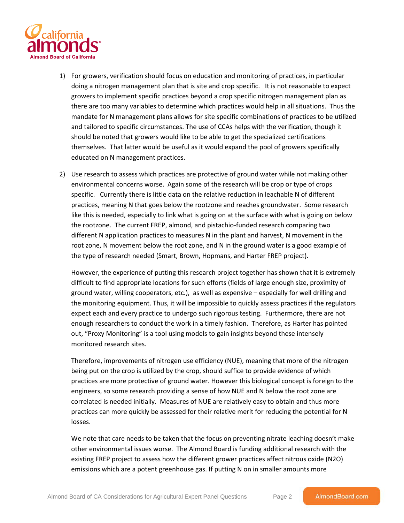

- 1) For growers, verification should focus on education and monitoring of practices, in particular doing a nitrogen management plan that is site and crop specific. It is not reasonable to expect growers to implement specific practices beyond a crop specific nitrogen management plan as there are too many variables to determine which practices would help in all situations. Thus the mandate for N management plans allows for site specific combinations of practices to be utilized and tailored to specific circumstances. The use of CCAs helps with the verification, though it should be noted that growers would like to be able to get the specialized certifications themselves. That latter would be useful as it would expand the pool of growers specifically educated on N management practices.
- 2) Use research to assess which practices are protective of ground water while not making other environmental concerns worse. Again some of the research will be crop or type of crops specific. Currently there is little data on the relative reduction in leachable N of different practices, meaning N that goes below the rootzone and reaches groundwater. Some research like this is needed, especially to link what is going on at the surface with what is going on below the rootzone. The current FREP, almond, and pistachio-funded research comparing two different N application practices to measures N in the plant and harvest, N movement in the root zone, N movement below the root zone, and N in the ground water is a good example of the type of research needed (Smart, Brown, Hopmans, and Harter FREP project).

However, the experience of putting this research project together has shown that it is extremely difficult to find appropriate locations for such efforts (fields of large enough size, proximity of ground water, willing cooperators, etc.), as well as expensive – especially for well drilling and the monitoring equipment. Thus, it will be impossible to quickly assess practices if the regulators expect each and every practice to undergo such rigorous testing. Furthermore, there are not enough researchers to conduct the work in a timely fashion. Therefore, as Harter has pointed out, "Proxy Monitoring" is a tool using models to gain insights beyond these intensely monitored research sites.

Therefore, improvements of nitrogen use efficiency (NUE), meaning that more of the nitrogen being put on the crop is utilized by the crop, should suffice to provide evidence of which practices are more protective of ground water. However this biological concept is foreign to the engineers, so some research providing a sense of how NUE and N below the root zone are correlated is needed initially. Measures of NUE are relatively easy to obtain and thus more practices can more quickly be assessed for their relative merit for reducing the potential for N losses.

We note that care needs to be taken that the focus on preventing nitrate leaching doesn't make other environmental issues worse. The Almond Board is funding additional research with the existing FREP project to assess how the different grower practices affect nitrous oxide (N2O) emissions which are a potent greenhouse gas. If putting N on in smaller amounts more